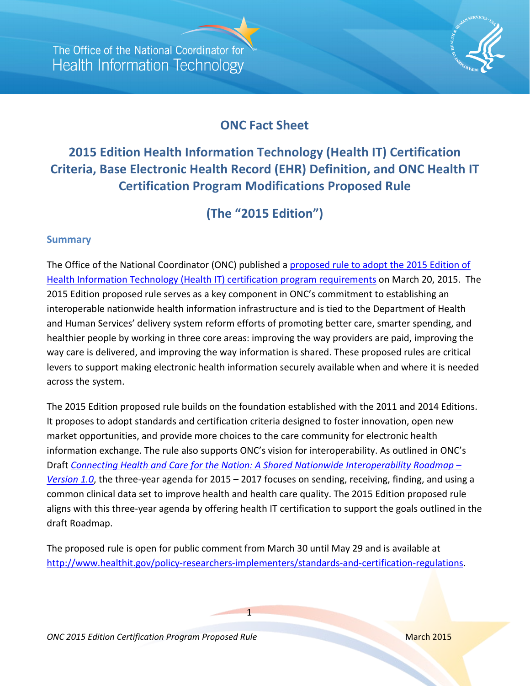

## **ONC Fact Sheet**

# **2015 Edition Health Information Technology (Health IT) Certification Criteria, Base Electronic Health Record (EHR) Definition, and ONC Health IT Certification Program Modifications Proposed Rule**

**(The "2015 Edition")**

#### **Summary**

The Office of the National Coordinator (ONC) published a [proposed rule to adopt the 2015 Edition of](https://s3.amazonaws.com/public-inspection.federalregister.gov/2015-06612.pdf)  [Health Information Technology \(Health IT\) certification program requirements](https://s3.amazonaws.com/public-inspection.federalregister.gov/2015-06612.pdf) on March 20, 2015. The 2015 Edition proposed rule serves as a key component in ONC's commitment to establishing an interoperable nationwide health information infrastructure and is tied to the Department of Health and Human Services' delivery system reform efforts of promoting better care, smarter spending, and healthier people by working in three core areas: improving the way providers are paid, improving the way care is delivered, and improving the way information is shared. These proposed rules are critical levers to support making electronic health information securely available when and where it is needed across the system.

The 2015 Edition proposed rule builds on the foundation established with the 2011 and 2014 Editions. It proposes to adopt standards and certification criteria designed to foster innovation, open new market opportunities, and provide more choices to the care community for electronic health information exchange. The rule also supports ONC's vision for interoperability. As outlined in ONC's Draft *[Connecting Health and Care for the Nation: A Shared Nationwide Interoperability Roadmap –](http://www.healthit.gov/interoperability)  [Version 1.0](http://www.healthit.gov/interoperability)*, the three-year agenda for 2015 – 2017 focuses on sending, receiving, finding, and using a common clinical data set to improve health and health care quality. The 2015 Edition proposed rule aligns with this three-year agenda by offering health IT certification to support the goals outlined in the draft Roadmap.

The proposed rule is open for public comment from March 30 until May 29 and is available at [http://www.healthit.gov/policy-researchers-implementers/standards-and-certification-regulations.](http://www.healthit.gov/policy-researchers-implementers/standards-and-certification-regulations)

1

**ONC 2015 Edition Certification Program Proposed Rule** March 2015 March 2015